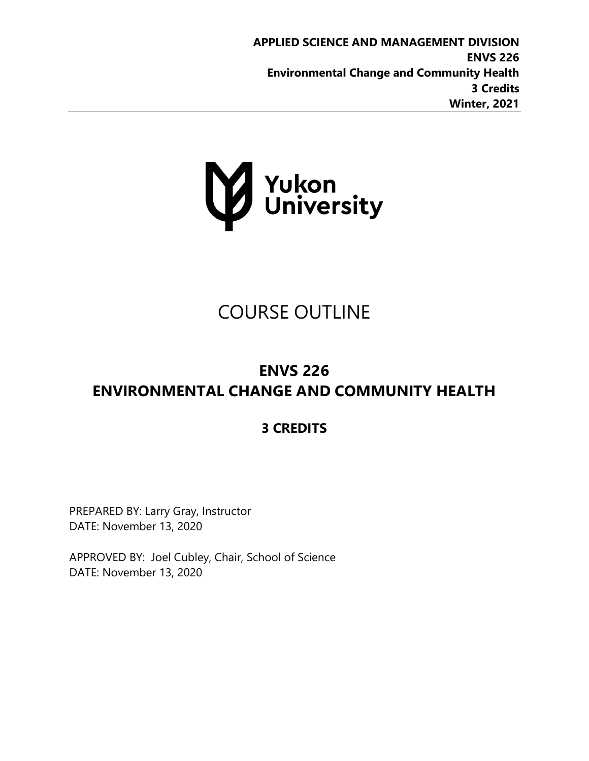**APPLIED SCIENCE AND MANAGEMENT DIVISION ENVS 226 Environmental Change and Community Health 3 Credits Winter, 2021**



# COURSE OUTLINE

# **ENVS 226 ENVIRONMENTAL CHANGE AND COMMUNITY HEALTH**

# **3 CREDITS**

PREPARED BY: Larry Gray, Instructor DATE: November 13, 2020

APPROVED BY: Joel Cubley, Chair, School of Science DATE: November 13, 2020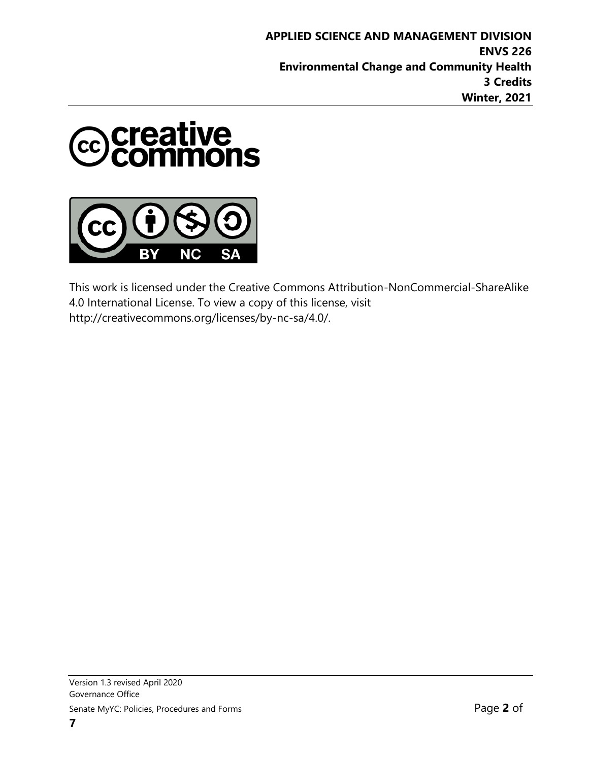



This work is licensed under the Creative Commons Attribution-NonCommercial-ShareAlike 4.0 International License. To view a copy of this license, visit http://creativecommons.org/licenses/by-nc-sa/4.0/.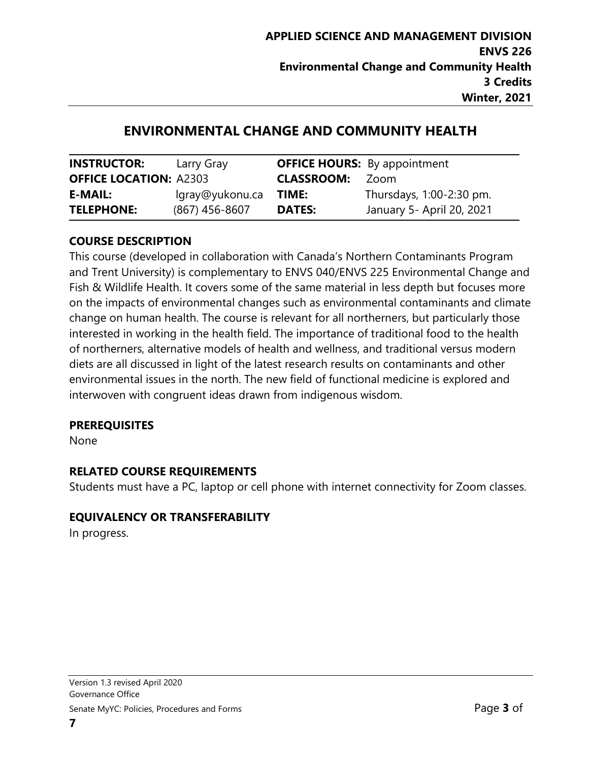# **ENVIRONMENTAL CHANGE AND COMMUNITY HEALTH**

| <b>INSTRUCTOR:</b>            | Larry Gray       |                   | <b>OFFICE HOURS:</b> By appointment |
|-------------------------------|------------------|-------------------|-------------------------------------|
| <b>OFFICE LOCATION: A2303</b> |                  | <b>CLASSROOM:</b> | Zoom                                |
| <b>E-MAIL:</b>                | lgray@yukonu.ca  | TIME:             | Thursdays, 1:00-2:30 pm.            |
| <b>TELEPHONE:</b>             | $(867)$ 456-8607 | <b>DATES:</b>     | January 5- April 20, 2021           |

#### **COURSE DESCRIPTION**

This course (developed in collaboration with Canada's Northern Contaminants Program and Trent University) is complementary to ENVS 040/ENVS 225 Environmental Change and Fish & Wildlife Health. It covers some of the same material in less depth but focuses more on the impacts of environmental changes such as environmental contaminants and climate change on human health. The course is relevant for all northerners, but particularly those interested in working in the health field. The importance of traditional food to the health of northerners, alternative models of health and wellness, and traditional versus modern diets are all discussed in light of the latest research results on contaminants and other environmental issues in the north. The new field of functional medicine is explored and interwoven with congruent ideas drawn from indigenous wisdom.

#### **PREREQUISITES**

None

#### **RELATED COURSE REQUIREMENTS**

Students must have a PC, laptop or cell phone with internet connectivity for Zoom classes.

#### **EQUIVALENCY OR TRANSFERABILITY**

In progress.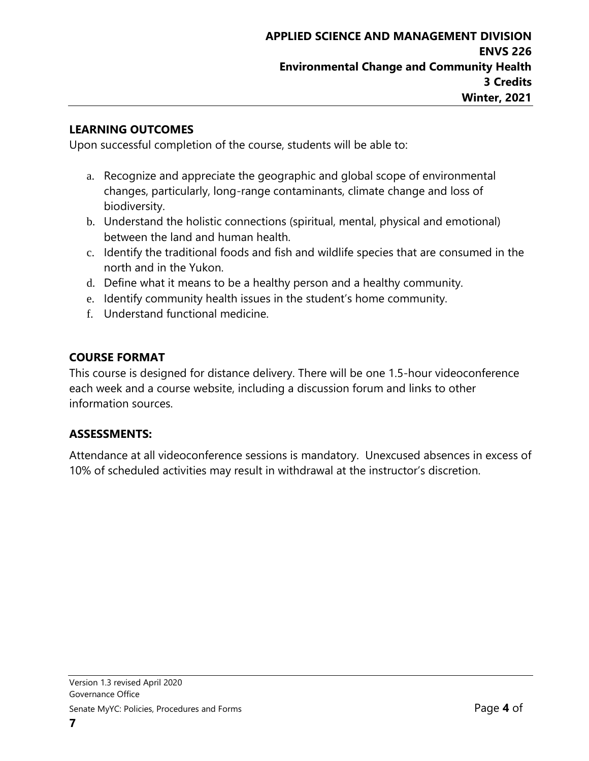#### **LEARNING OUTCOMES**

Upon successful completion of the course, students will be able to:

- a. Recognize and appreciate the geographic and global scope of environmental changes, particularly, long-range contaminants, climate change and loss of biodiversity.
- b. Understand the holistic connections (spiritual, mental, physical and emotional) between the land and human health.
- c. Identify the traditional foods and fish and wildlife species that are consumed in the north and in the Yukon.
- d. Define what it means to be a healthy person and a healthy community.
- e. Identify community health issues in the student's home community.
- f. Understand functional medicine.

#### **COURSE FORMAT**

This course is designed for distance delivery. There will be one 1.5-hour videoconference each week and a course website, including a discussion forum and links to other information sources.

#### **ASSESSMENTS:**

Attendance at all videoconference sessions is mandatory. Unexcused absences in excess of 10% of scheduled activities may result in withdrawal at the instructor's discretion.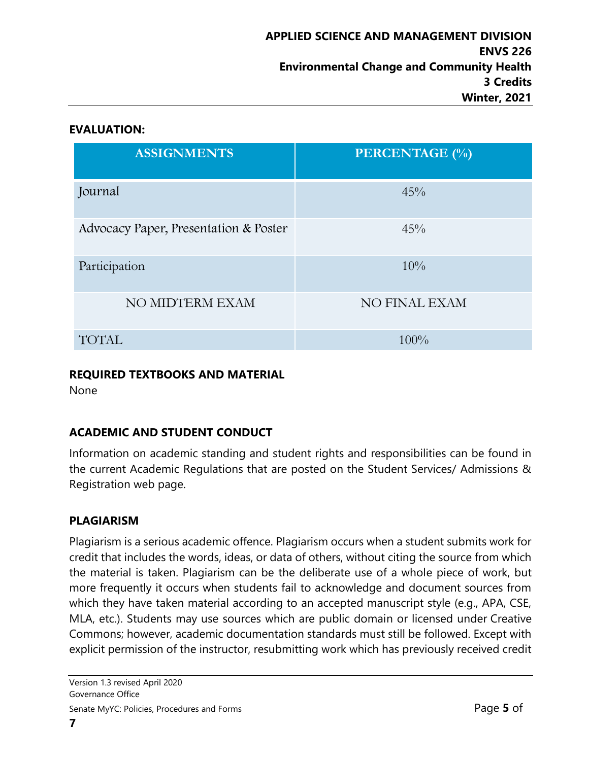#### **EVALUATION:**

| <b>ASSIGNMENTS</b>                    | <b>PERCENTAGE</b> (%) |
|---------------------------------------|-----------------------|
| Journal                               | 45%                   |
| Advocacy Paper, Presentation & Poster | 45%                   |
| Participation                         | $10\%$                |
| NO MIDTERM EXAM                       | NO FINAL EXAM         |
| <b>TOTAL</b>                          | $100\%$               |

#### **REQUIRED TEXTBOOKS AND MATERIAL**

None

## **ACADEMIC AND STUDENT CONDUCT**

Information on academic standing and student rights and responsibilities can be found in the current Academic Regulations that are posted on the Student Services/ Admissions & Registration web page.

## **PLAGIARISM**

Plagiarism is a serious academic offence. Plagiarism occurs when a student submits work for credit that includes the words, ideas, or data of others, without citing the source from which the material is taken. Plagiarism can be the deliberate use of a whole piece of work, but more frequently it occurs when students fail to acknowledge and document sources from which they have taken material according to an accepted manuscript style (e.g., APA, CSE, MLA, etc.). Students may use sources which are public domain or licensed under Creative Commons; however, academic documentation standards must still be followed. Except with explicit permission of the instructor, resubmitting work which has previously received credit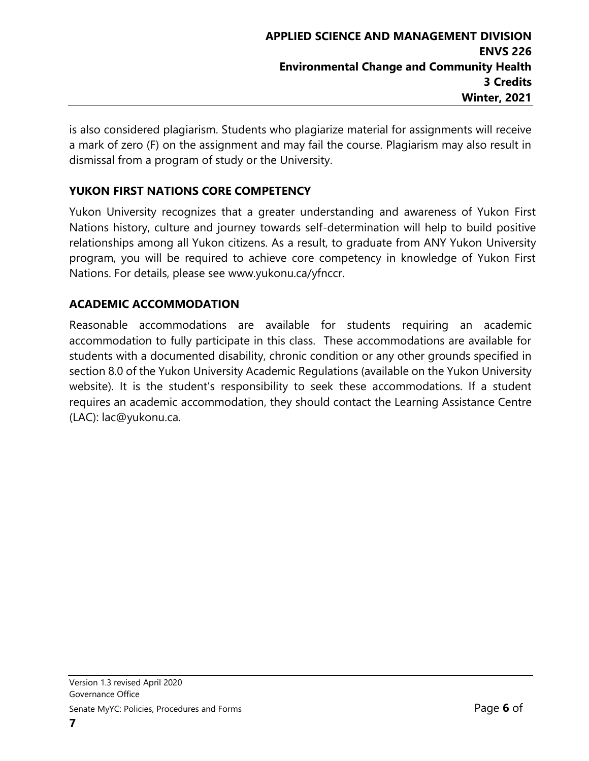is also considered plagiarism. Students who plagiarize material for assignments will receive a mark of zero (F) on the assignment and may fail the course. Plagiarism may also result in dismissal from a program of study or the University.

## **YUKON FIRST NATIONS CORE COMPETENCY**

Yukon University recognizes that a greater understanding and awareness of Yukon First Nations history, culture and journey towards self-determination will help to build positive relationships among all Yukon citizens. As a result, to graduate from ANY Yukon University program, you will be required to achieve core competency in knowledge of Yukon First Nations. For details, please see www.yukonu.ca/yfnccr.

#### **ACADEMIC ACCOMMODATION**

Reasonable accommodations are available for students requiring an academic accommodation to fully participate in this class. These accommodations are available for students with a documented disability, chronic condition or any other grounds specified in section 8.0 of the Yukon University Academic Regulations (available on the Yukon University website). It is the student's responsibility to seek these accommodations. If a student requires an academic accommodation, they should contact the Learning Assistance Centre (LAC): lac@yukonu.ca.